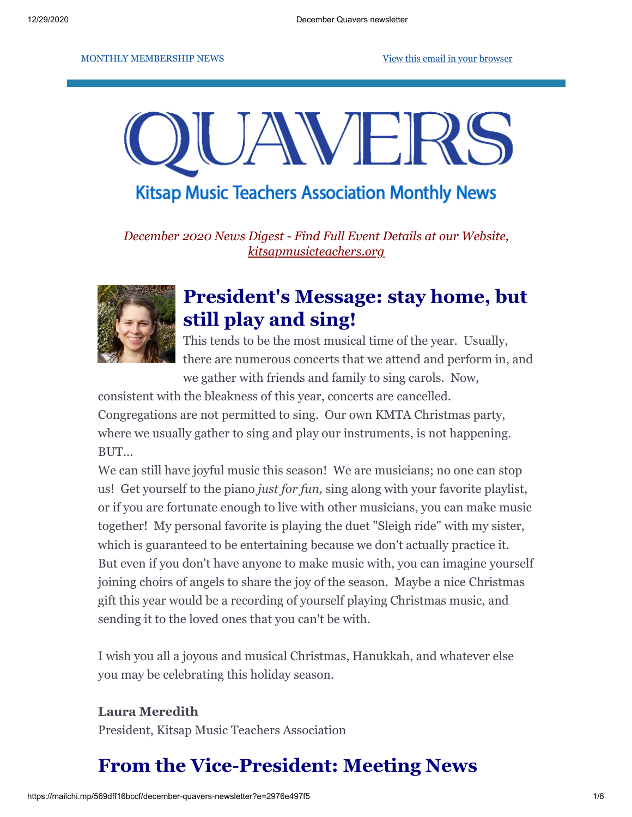#### MONTHLY MEMBERSHIP NEWS [View this email in your browser](https://mailchi.mp/569dff16bccf/december-quavers-newsletter?e=2976e497f5)



**Kitsap Music Teachers Association Monthly News** 

*December 2020 News Digest - Find Full Event Details at our Website, [kitsapmusicteachers.org](http://www.kitsapmusicteachers.org/)*



## **President's Message: stay home, but still play and sing!**

This tends to be the most musical time of the year. Usually, there are numerous concerts that we attend and perform in, and we gather with friends and family to sing carols. Now,

consistent with the bleakness of this year, concerts are cancelled. Congregations are not permitted to sing. Our own KMTA Christmas party, where we usually gather to sing and play our instruments, is not happening. BUT...

We can still have joyful music this season! We are musicians; no one can stop us! Get yourself to the piano *just for fun,* sing along with your favorite playlist, or if you are fortunate enough to live with other musicians, you can make music together! My personal favorite is playing the duet "Sleigh ride" with my sister, which is guaranteed to be entertaining because we don't actually practice it. But even if you don't have anyone to make music with, you can imagine yourself joining choirs of angels to share the joy of the season. Maybe a nice Christmas gift this year would be a recording of yourself playing Christmas music, and sending it to the loved ones that you can't be with.

I wish you all a joyous and musical Christmas, Hanukkah, and whatever else you may be celebrating this holiday season.

### **Laura Meredith**

President, Kitsap Music Teachers Association

## **From the Vice-President: Meeting News**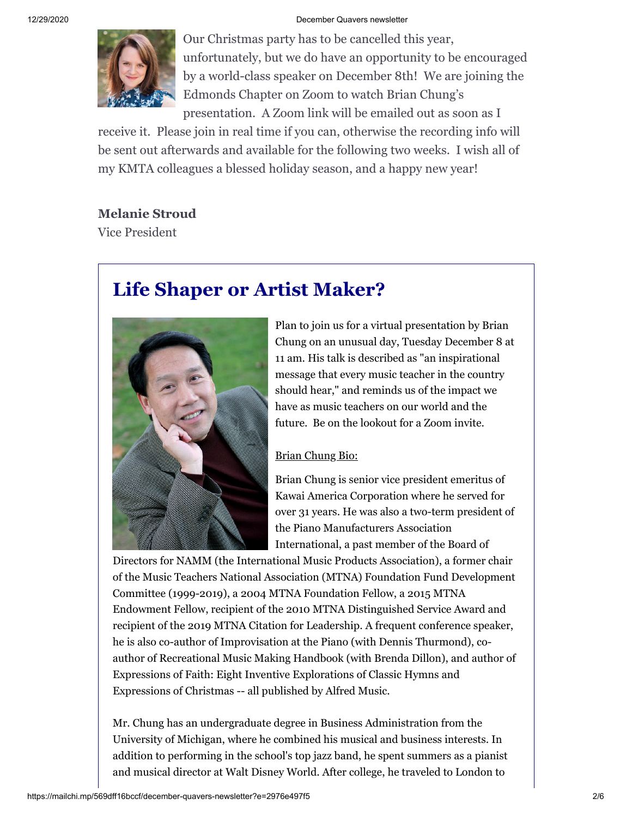

Our Christmas party has to be cancelled this year, unfortunately, but we do have an opportunity to be encouraged by a world-class speaker on December 8th! We are joining the Edmonds Chapter on Zoom to watch Brian Chung's presentation. A Zoom link will be emailed out as soon as I

receive it. Please join in real time if you can, otherwise the recording info will be sent out afterwards and available for the following two weeks. I wish all of my KMTA colleagues a blessed holiday season, and a happy new year!

#### **Melanie Stroud**

Vice President

# **Life Shaper or Artist Maker?**



Plan to join us for a virtual presentation by Brian Chung on an unusual day, Tuesday December 8 at 11 am. His talk is described as "an inspirational message that every music teacher in the country should hear," and reminds us of the impact we have as music teachers on our world and the future. Be on the lookout for a Zoom invite.

#### Brian Chung Bio:

Brian Chung is senior vice president emeritus of Kawai America Corporation where he served for over 31 years. He was also a two-term president of the Piano Manufacturers Association International, a past member of the Board of

Directors for NAMM (the International Music Products Association), a former chair of the Music Teachers National Association (MTNA) Foundation Fund Development Committee (1999-2019), a 2004 MTNA Foundation Fellow, a 2015 MTNA Endowment Fellow, recipient of the 2010 MTNA Distinguished Service Award and recipient of the 2019 MTNA Citation for Leadership. A frequent conference speaker, he is also co-author of Improvisation at the Piano (with Dennis Thurmond), coauthor of Recreational Music Making Handbook (with Brenda Dillon), and author of Expressions of Faith: Eight Inventive Explorations of Classic Hymns and Expressions of Christmas -- all published by Alfred Music.

Mr. Chung has an undergraduate degree in Business Administration from the University of Michigan, where he combined his musical and business interests. In addition to performing in the school's top jazz band, he spent summers as a pianist and musical director at Walt Disney World. After college, he traveled to London to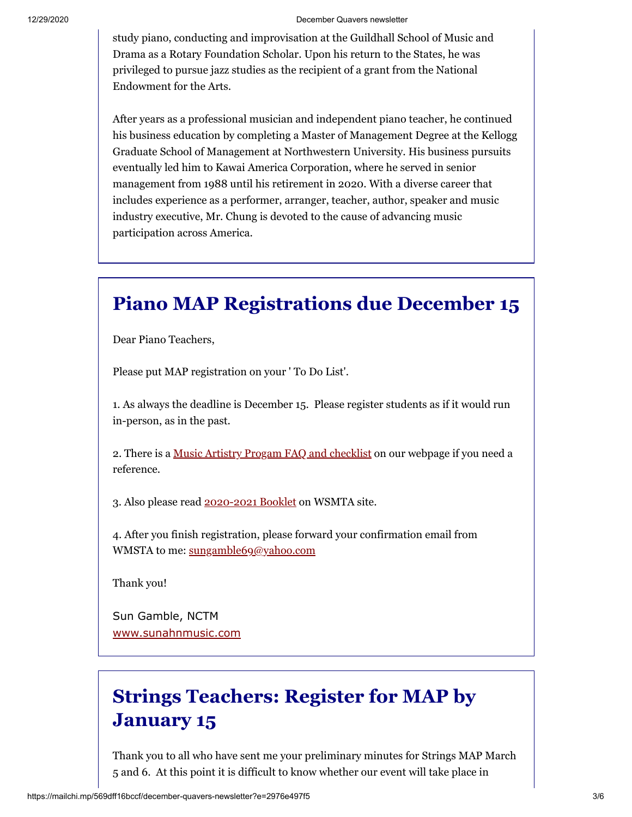study piano, conducting and improvisation at the Guildhall School of Music and Drama as a Rotary Foundation Scholar. Upon his return to the States, he was privileged to pursue jazz studies as the recipient of a grant from the National Endowment for the Arts.

After years as a professional musician and independent piano teacher, he continued his business education by completing a Master of Management Degree at the Kellogg Graduate School of Management at Northwestern University. His business pursuits eventually led him to Kawai America Corporation, where he served in senior management from 1988 until his retirement in 2020. With a diverse career that includes experience as a performer, arranger, teacher, author, speaker and music industry executive, Mr. Chung is devoted to the cause of advancing music participation across America.

### **Piano MAP Registrations due December 15**

Dear Piano Teachers,

Please put MAP registration on your ' To Do List'.

1. As always the deadline is December 15. Please register students as if it would run in-person, as in the past.

2. There is a [Music Artistry Progam FAQ and checklist](http://www.kitsapmusicteachers.org/map-faqs/) on our webpage if you need a reference.

3. Also please read [2020-2021 Booklet](https://wsmta.org/wp-content/uploads/2020/11/2020-2021-MAP-Booklet.pdf) on WSMTA site.

4. After you finish registration, please forward your confirmation email from WMSTA to me: [sungamble69@yahoo.com](mailto:sungamble69@yahoo.com)

Thank you!

Sun Gamble, NCTM [www.sunahnmusic.com](http://www.sunahnmusic.com/)

# **Strings Teachers: Register for MAP by January 15**

Thank you to all who have sent me your preliminary minutes for Strings MAP March 5 and 6. At this point it is difficult to know whether our event will take place in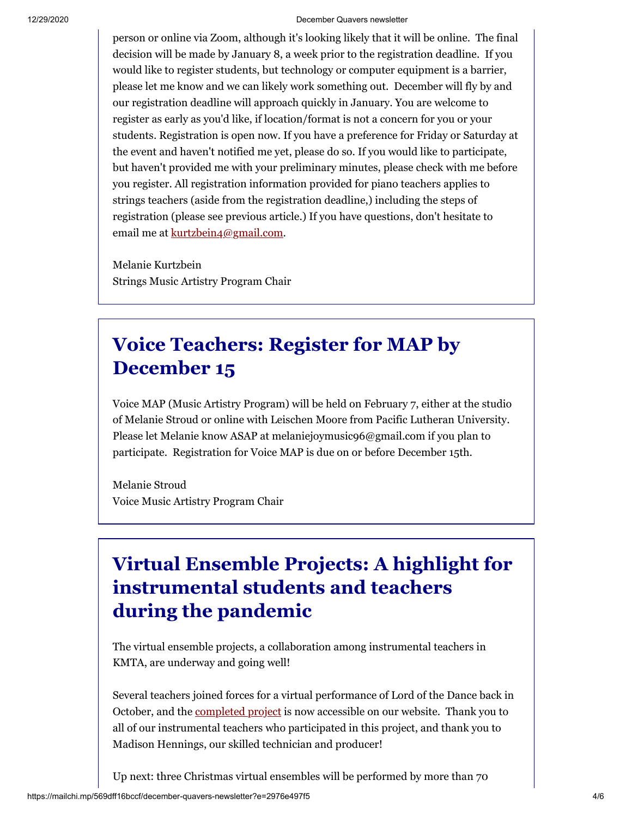person or online via Zoom, although it's looking likely that it will be online. The final decision will be made by January 8, a week prior to the registration deadline. If you would like to register students, but technology or computer equipment is a barrier, please let me know and we can likely work something out. December will fly by and our registration deadline will approach quickly in January. You are welcome to register as early as you'd like, if location/format is not a concern for you or your students. Registration is open now. If you have a preference for Friday or Saturday at the event and haven't notified me yet, please do so. If you would like to participate, but haven't provided me with your preliminary minutes, please check with me before you register. All registration information provided for piano teachers applies to strings teachers (aside from the registration deadline,) including the steps of registration (please see previous article.) If you have questions, don't hesitate to email me at [kurtzbein4@gmail.com](mailto:kurtzbein4@gmail.com).

Melanie Kurtzbein Strings Music Artistry Program Chair

## **Voice Teachers: Register for MAP by December 15**

Voice MAP (Music Artistry Program) will be held on February 7, either at the studio of Melanie Stroud or online with Leischen Moore from Pacific Lutheran University. Please let Melanie know ASAP at melaniejoymusic96@gmail.com if you plan to participate. Registration for Voice MAP is due on or before December 15th.

Melanie Stroud Voice Music Artistry Program Chair

# **Virtual Ensemble Projects: A highlight for instrumental students and teachers during the pandemic**

The virtual ensemble projects, a collaboration among instrumental teachers in KMTA, are underway and going well!

Several teachers joined forces for a virtual performance of Lord of the Dance back in October, and the [completed project](http://www.kitsapmusicteachers.org/virtual-performances/) is now accessible on our website. Thank you to all of our instrumental teachers who participated in this project, and thank you to Madison Hennings, our skilled technician and producer!

Up next: three Christmas virtual ensembles will be performed by more than 70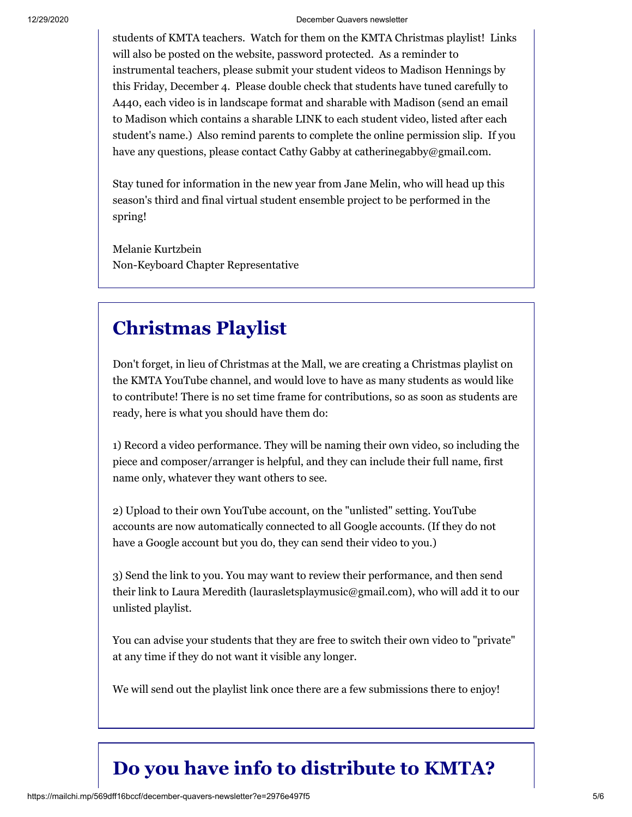students of KMTA teachers. Watch for them on the KMTA Christmas playlist! Links will also be posted on the website, password protected. As a reminder to instrumental teachers, please submit your student videos to Madison Hennings by this Friday, December 4. Please double check that students have tuned carefully to A440, each video is in landscape format and sharable with Madison (send an email to Madison which contains a sharable LINK to each student video, listed after each student's name.) Also remind parents to complete the online permission slip. If you have any questions, please contact Cathy Gabby at catherinegabby@gmail.com.

Stay tuned for information in the new year from Jane Melin, who will head up this season's third and final virtual student ensemble project to be performed in the spring!

Melanie Kurtzbein Non-Keyboard Chapter Representative

### **Christmas Playlist**

Don't forget, in lieu of Christmas at the Mall, we are creating a Christmas playlist on the KMTA YouTube channel, and would love to have as many students as would like to contribute! There is no set time frame for contributions, so as soon as students are ready, here is what you should have them do:

1) Record a video performance. They will be naming their own video, so including the piece and composer/arranger is helpful, and they can include their full name, first name only, whatever they want others to see.

2) Upload to their own YouTube account, on the "unlisted" setting. YouTube accounts are now automatically connected to all Google accounts. (If they do not have a Google account but you do, they can send their video to you.)

3) Send the link to you. You may want to review their performance, and then send their link to Laura Meredith (laurasletsplaymusic@gmail.com), who will add it to our unlisted playlist.

You can advise your students that they are free to switch their own video to "private" at any time if they do not want it visible any longer.

We will send out the playlist link once there are a few submissions there to enjoy!

# **Do you have info to distribute to KMTA?**